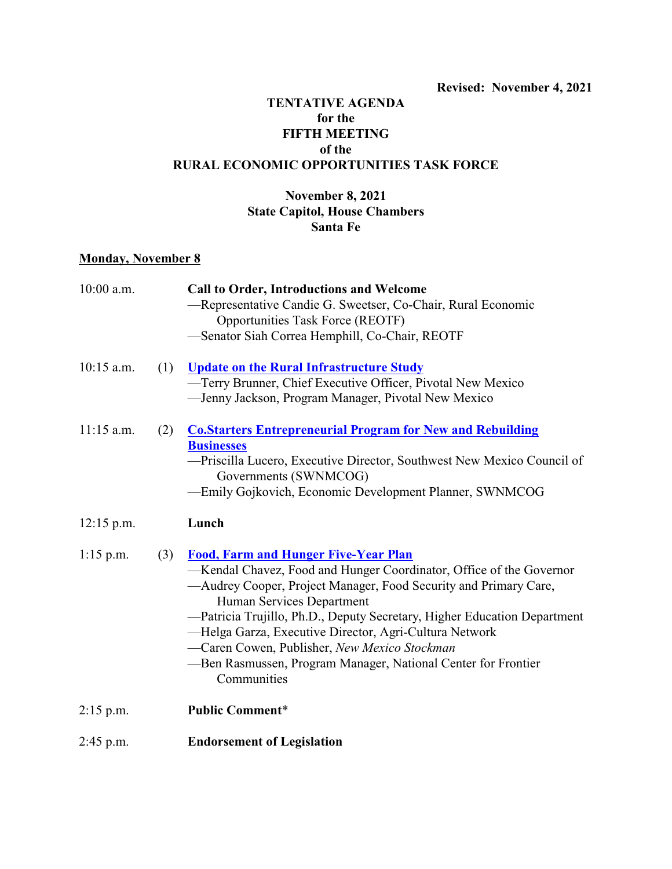## **TENTATIVE AGENDA for the FIFTH MEETING of the RURAL ECONOMIC OPPORTUNITIES TASK FORCE**

## **November 8, 2021 State Capitol, House Chambers Santa Fe**

## **Monday, November 8**

| 10:00 a.m.   |     | Call to Order, Introductions and Welcome                                                      |
|--------------|-----|-----------------------------------------------------------------------------------------------|
|              |     | -Representative Candie G. Sweetser, Co-Chair, Rural Economic                                  |
|              |     | <b>Opportunities Task Force (REOTF)</b>                                                       |
|              |     | -Senator Siah Correa Hemphill, Co-Chair, REOTF                                                |
| $10:15$ a.m. | (1) | <b>Update on the Rural Infrastructure Study</b>                                               |
|              |     | -Terry Brunner, Chief Executive Officer, Pivotal New Mexico                                   |
|              |     | -Jenny Jackson, Program Manager, Pivotal New Mexico                                           |
| $11:15$ a.m. | (2) | <b>Co.Starters Entrepreneurial Program for New and Rebuilding</b>                             |
|              |     | <b>Businesses</b>                                                                             |
|              |     | -Priscilla Lucero, Executive Director, Southwest New Mexico Council of                        |
|              |     | Governments (SWNMCOG)                                                                         |
|              |     | -Emily Gojkovich, Economic Development Planner, SWNMCOG                                       |
| $12:15$ p.m. |     | Lunch                                                                                         |
| $1:15$ p.m.  | (3) | <b>Food, Farm and Hunger Five-Year Plan</b>                                                   |
|              |     | -Kendal Chavez, Food and Hunger Coordinator, Office of the Governor                           |
|              |     | —Audrey Cooper, Project Manager, Food Security and Primary Care,<br>Human Services Department |
|              |     | -Patricia Trujillo, Ph.D., Deputy Secretary, Higher Education Department                      |
|              |     | -Helga Garza, Executive Director, Agri-Cultura Network                                        |
|              |     | -Caren Cowen, Publisher, New Mexico Stockman                                                  |
|              |     | -Ben Rasmussen, Program Manager, National Center for Frontier<br>Communities                  |
| $2:15$ p.m.  |     | <b>Public Comment*</b>                                                                        |
| $2:45$ p.m.  |     | <b>Endorsement of Legislation</b>                                                             |